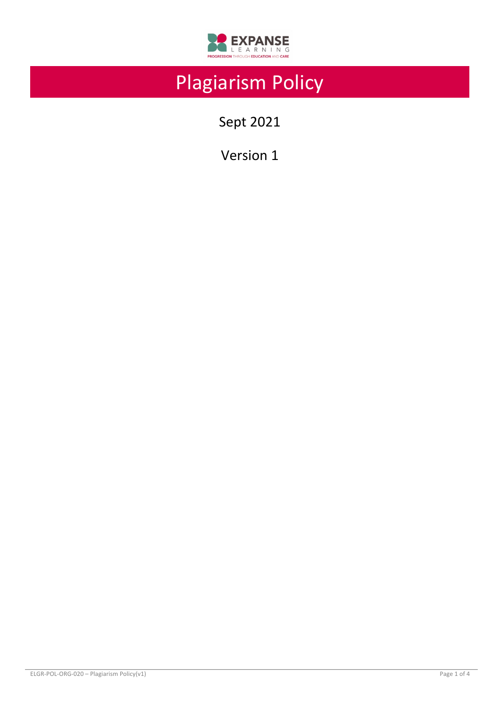

# Plagiarism Policy

Sept 2021

Version 1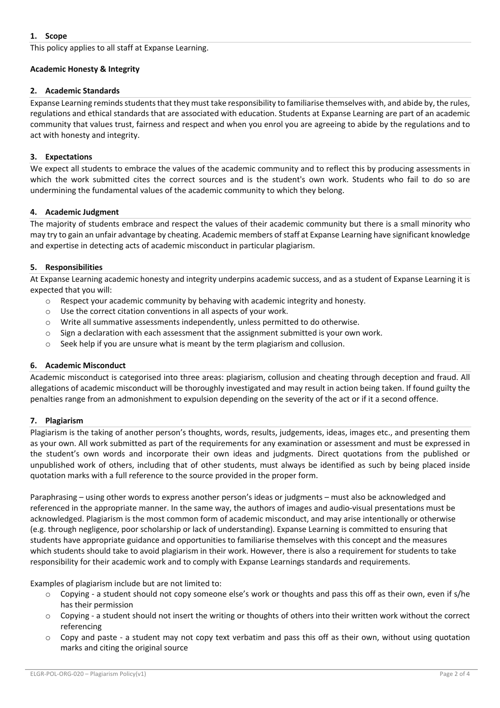This policy applies to all staff at Expanse Learning.

## **Academic Honesty & Integrity**

### **2. Academic Standards**

Expanse Learning reminds students that they must take responsibility to familiarise themselves with, and abide by, the rules, regulations and ethical standards that are associated with education. Students at Expanse Learning are part of an academic community that values trust, fairness and respect and when you enrol you are agreeing to abide by the regulations and to act with honesty and integrity.

### **3. Expectations**

We expect all students to embrace the values of the academic community and to reflect this by producing assessments in which the work submitted cites the correct sources and is the student's own work. Students who fail to do so are undermining the fundamental values of the academic community to which they belong.

#### **4. Academic Judgment**

The majority of students embrace and respect the values of their academic community but there is a small minority who may try to gain an unfair advantage by cheating. Academic members of staff at Expanse Learning have significant knowledge and expertise in detecting acts of academic misconduct in particular plagiarism.

#### **5. Responsibilities**

At Expanse Learning academic honesty and integrity underpins academic success, and as a student of Expanse Learning it is expected that you will:

- $\circ$  Respect your academic community by behaving with academic integrity and honesty.
- o Use the correct citation conventions in all aspects of your work.
- o Write all summative assessments independently, unless permitted to do otherwise.
- o Sign a declaration with each assessment that the assignment submitted is your own work.
- $\circ$  Seek help if you are unsure what is meant by the term plagiarism and collusion.

### **6. Academic Misconduct**

Academic misconduct is categorised into three areas: plagiarism, collusion and cheating through deception and fraud. All allegations of academic misconduct will be thoroughly investigated and may result in action being taken. If found guilty the penalties range from an admonishment to expulsion depending on the severity of the act or if it a second offence.

### **7. Plagiarism**

Plagiarism is the taking of another person's thoughts, words, results, judgements, ideas, images etc., and presenting them as your own. All work submitted as part of the requirements for any examination or assessment and must be expressed in the student's own words and incorporate their own ideas and judgments. Direct quotations from the published or unpublished work of others, including that of other students, must always be identified as such by being placed inside quotation marks with a full reference to the source provided in the proper form.

Paraphrasing – using other words to express another person's ideas or judgments – must also be acknowledged and referenced in the appropriate manner. In the same way, the authors of images and audio-visual presentations must be acknowledged. Plagiarism is the most common form of academic misconduct, and may arise intentionally or otherwise (e.g. through negligence, poor scholarship or lack of understanding). Expanse Learning is committed to ensuring that students have appropriate guidance and opportunities to familiarise themselves with this concept and the measures which students should take to avoid plagiarism in their work. However, there is also a requirement for students to take responsibility for their academic work and to comply with Expanse Learnings standards and requirements.

Examples of plagiarism include but are not limited to:

- $\circ$  Copying a student should not copy someone else's work or thoughts and pass this off as their own, even if s/he has their permission
- $\circ$  Copying a student should not insert the writing or thoughts of others into their written work without the correct referencing
- $\circ$  Copy and paste a student may not copy text verbatim and pass this off as their own, without using quotation marks and citing the original source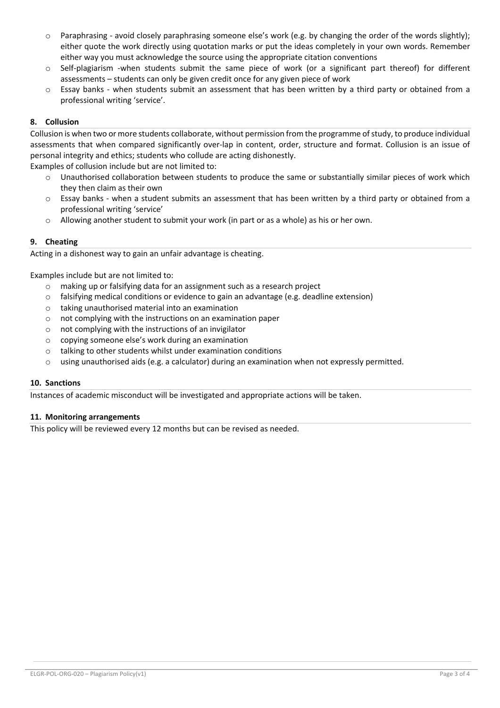- $\circ$  Paraphrasing avoid closely paraphrasing someone else's work (e.g. by changing the order of the words slightly); either quote the work directly using quotation marks or put the ideas completely in your own words. Remember either way you must acknowledge the source using the appropriate citation conventions
- $\circ$  Self-plagiarism -when students submit the same piece of work (or a significant part thereof) for different assessments – students can only be given credit once for any given piece of work
- $\circ$  Essay banks when students submit an assessment that has been written by a third party or obtained from a professional writing 'service'.

# **8. Collusion**

Collusion is when two or more students collaborate, without permission from the programme of study, to produce individual assessments that when compared significantly over-lap in content, order, structure and format. Collusion is an issue of personal integrity and ethics; students who collude are acting dishonestly.

Examples of collusion include but are not limited to:

- o Unauthorised collaboration between students to produce the same or substantially similar pieces of work which they then claim as their own
- $\circ$  Essay banks when a student submits an assessment that has been written by a third party or obtained from a professional writing 'service'
- o Allowing another student to submit your work (in part or as a whole) as his or her own.

### **9. Cheating**

Acting in a dishonest way to gain an unfair advantage is cheating.

Examples include but are not limited to:

- o making up or falsifying data for an assignment such as a research project
- o falsifying medical conditions or evidence to gain an advantage (e.g. deadline extension)
- o taking unauthorised material into an examination
- o not complying with the instructions on an examination paper
- o not complying with the instructions of an invigilator
- o copying someone else's work during an examination
- o talking to other students whilst under examination conditions
- o using unauthorised aids (e.g. a calculator) during an examination when not expressly permitted.

#### **10. Sanctions**

Instances of academic misconduct will be investigated and appropriate actions will be taken.

### **11. Monitoring arrangements**

This policy will be reviewed every 12 months but can be revised as needed.